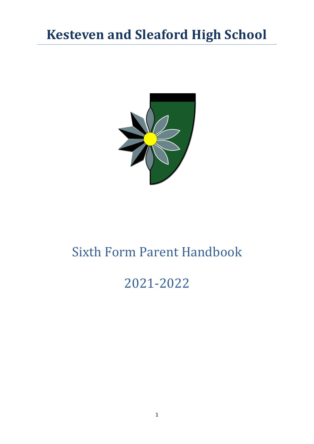## **Kesteven and Sleaford High School**



## Sixth Form Parent Handbook

# 2021-2022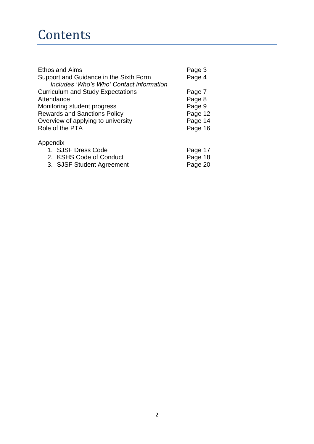## **Contents**

| <b>Ethos and Aims</b>                    | Page 3             |
|------------------------------------------|--------------------|
| Support and Guidance in the Sixth Form   | Page 4             |
| Includes 'Who's Who' Contact information |                    |
| <b>Curriculum and Study Expectations</b> | Page 7             |
| Attendance                               | Page 8             |
| Monitoring student progress              | Page 9             |
| <b>Rewards and Sanctions Policy</b>      | Page 12            |
| Overview of applying to university       | Page 14<br>Page 16 |
| Role of the PTA                          |                    |
| Appendix                                 |                    |
| 1. SJSF Dress Code                       | Page 17            |
| 2 ICUC Code of Conduct                   | Dogo 10            |

| 2. KSHS Code of Conduct   | Page 18 |
|---------------------------|---------|
| 3. SJSF Student Agreement | Page 20 |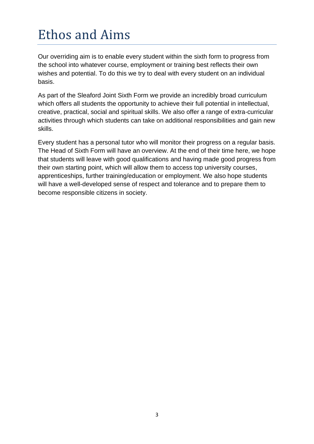# Ethos and Aims

Our overriding aim is to enable every student within the sixth form to progress from the school into whatever course, employment or training best reflects their own wishes and potential. To do this we try to deal with every student on an individual basis.

As part of the Sleaford Joint Sixth Form we provide an incredibly broad curriculum which offers all students the opportunity to achieve their full potential in intellectual, creative, practical, social and spiritual skills. We also offer a range of extra-curricular activities through which students can take on additional responsibilities and gain new skills.

Every student has a personal tutor who will monitor their progress on a regular basis. The Head of Sixth Form will have an overview. At the end of their time here, we hope that students will leave with good qualifications and having made good progress from their own starting point, which will allow them to access top university courses, apprenticeships, further training/education or employment. We also hope students will have a well-developed sense of respect and tolerance and to prepare them to become responsible citizens in society.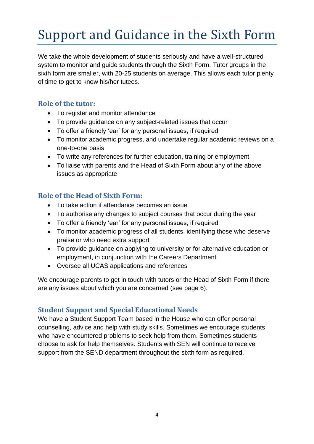# Support and Guidance in the Sixth Form

We take the whole development of students seriously and have a well-structured system to monitor and guide students through the Sixth Form. Tutor groups in the sixth form are smaller, with 20-25 students on average. This allows each tutor plenty of time to get to know his/her tutees.

## **Role of the tutor:**

- To register and monitor attendance
- To provide guidance on any subject-related issues that occur
- To offer a friendly 'ear' for any personal issues, if required
- To monitor academic progress, and undertake regular academic reviews on a one-to-one basis
- To write any references for further education, training or employment
- To liaise with parents and the Head of Sixth Form about any of the above issues as appropriate

## **Role of the Head of Sixth Form:**

- To take action if attendance becomes an issue
- To authorise any changes to subject courses that occur during the year
- To offer a friendly 'ear' for any personal issues, if required
- To monitor academic progress of all students, identifying those who deserve praise or who need extra support
- To provide guidance on applying to university or for alternative education or employment, in conjunction with the Careers Department
- Oversee all UCAS applications and references

We encourage parents to get in touch with tutors or the Head of Sixth Form if there are any issues about which you are concerned (see page 6).

## **Student Support and Special Educational Needs**

We have a Student Support Team based in the House who can offer personal counselling, advice and help with study skills. Sometimes we encourage students who have encountered problems to seek help from them. Sometimes students choose to ask for help themselves. Students with SEN will continue to receive support from the SEND department throughout the sixth form as required.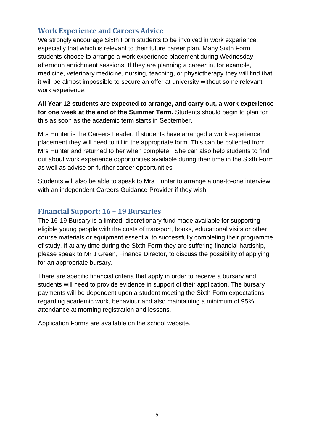### **Work Experience and Careers Advice**

We strongly encourage Sixth Form students to be involved in work experience, especially that which is relevant to their future career plan. Many Sixth Form students choose to arrange a work experience placement during Wednesday afternoon enrichment sessions. If they are planning a career in, for example, medicine, veterinary medicine, nursing, teaching, or physiotherapy they will find that it will be almost impossible to secure an offer at university without some relevant work experience.

**All Year 12 students are expected to arrange, and carry out, a work experience for one week at the end of the Summer Term.** Students should begin to plan for this as soon as the academic term starts in September.

Mrs Hunter is the Careers Leader. If students have arranged a work experience placement they will need to fill in the appropriate form. This can be collected from Mrs Hunter and returned to her when complete. She can also help students to find out about work experience opportunities available during their time in the Sixth Form as well as advise on further career opportunities.

Students will also be able to speak to Mrs Hunter to arrange a one-to-one interview with an independent Careers Guidance Provider if they wish.

### **Financial Support: 16 – 19 Bursaries**

The 16-19 Bursary is a limited, discretionary fund made available for supporting eligible young people with the costs of transport, books, educational visits or other course materials or equipment essential to successfully completing their programme of study. If at any time during the Sixth Form they are suffering financial hardship, please speak to Mr J Green, Finance Director, to discuss the possibility of applying for an appropriate bursary.

There are specific financial criteria that apply in order to receive a bursary and students will need to provide evidence in support of their application. The bursary payments will be dependent upon a student meeting the Sixth Form expectations regarding academic work, behaviour and also maintaining a minimum of 95% attendance at morning registration and lessons.

Application Forms are available on the school website.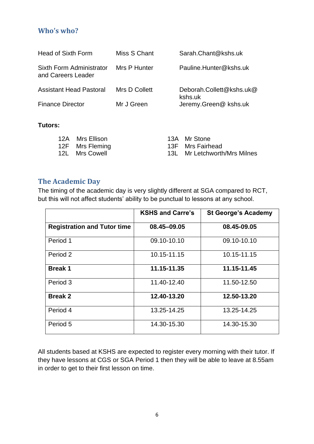### **Who's who?**

| <b>Head of Sixth Form</b>                      | Miss S Chant  | Sarah.Chant@kshs.uk                 |
|------------------------------------------------|---------------|-------------------------------------|
| Sixth Form Administrator<br>and Careers Leader | Mrs P Hunter  | Pauline.Hunter@kshs.uk              |
| <b>Assistant Head Pastoral</b>                 | Mrs D Collett | Deborah.Collett@kshs.uk@<br>kshs.uk |
| <b>Finance Director</b>                        | Mr J Green    | Jeremy.Green@ kshs.uk               |

#### **Tutors:**

| 12A Mrs Ellison | 13A Mr Stone                 |
|-----------------|------------------------------|
| 12F Mrs Fleming | 13F Mrs Fairhead             |
| 12L Mrs Cowell  | 13L Mr Letchworth/Mrs Milnes |

### **The Academic Day**

The timing of the academic day is very slightly different at SGA compared to RCT, but this will not affect students' ability to be punctual to lessons at any school.

|                                    | <b>KSHS and Carre's</b> | <b>St George's Academy</b> |
|------------------------------------|-------------------------|----------------------------|
| <b>Registration and Tutor time</b> | 08.45-09.05             | 08.45-09.05                |
| Period 1                           | 09.10-10.10             | 09.10-10.10                |
| Period 2                           | 10.15-11.15             | 10.15-11.15                |
| <b>Break 1</b>                     | 11.15-11.35             | 11.15-11.45                |
| Period 3                           | 11.40-12.40             | 11.50-12.50                |
| <b>Break 2</b>                     | 12.40-13.20             | 12.50-13.20                |
| Period 4                           | 13.25-14.25             | 13.25-14.25                |
| Period 5                           | 14.30-15.30             | 14.30-15.30                |

All students based at KSHS are expected to register every morning with their tutor. If they have lessons at CGS or SGA Period 1 then they will be able to leave at 8.55am in order to get to their first lesson on time.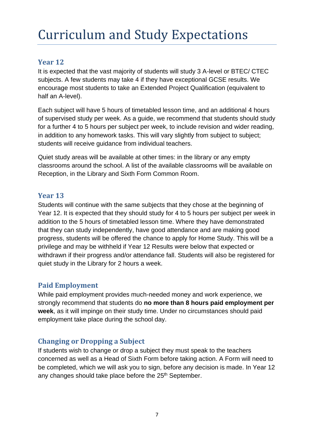# Curriculum and Study Expectations

## **Year 12**

It is expected that the vast majority of students will study 3 A-level or BTEC/ CTEC subjects. A few students may take 4 if they have exceptional GCSE results. We encourage most students to take an Extended Project Qualification (equivalent to half an A-level).

Each subject will have 5 hours of timetabled lesson time, and an additional 4 hours of supervised study per week. As a guide, we recommend that students should study for a further 4 to 5 hours per subject per week, to include revision and wider reading, in addition to any homework tasks. This will vary slightly from subject to subject; students will receive guidance from individual teachers.

Quiet study areas will be available at other times: in the library or any empty classrooms around the school. A list of the available classrooms will be available on Reception, in the Library and Sixth Form Common Room.

### **Year 13**

Students will continue with the same subjects that they chose at the beginning of Year 12. It is expected that they should study for 4 to 5 hours per subject per week in addition to the 5 hours of timetabled lesson time. Where they have demonstrated that they can study independently, have good attendance and are making good progress, students will be offered the chance to apply for Home Study. This will be a privilege and may be withheld if Year 12 Results were below that expected or withdrawn if their progress and/or attendance fall. Students will also be registered for quiet study in the Library for 2 hours a week.

### **Paid Employment**

While paid employment provides much-needed money and work experience, we strongly recommend that students do **no more than 8 hours paid employment per week**, as it will impinge on their study time. Under no circumstances should paid employment take place during the school day.

## **Changing or Dropping a Subject**

If students wish to change or drop a subject they must speak to the teachers concerned as well as a Head of Sixth Form before taking action. A Form will need to be completed, which we will ask you to sign, before any decision is made. In Year 12 any changes should take place before the 25<sup>th</sup> September.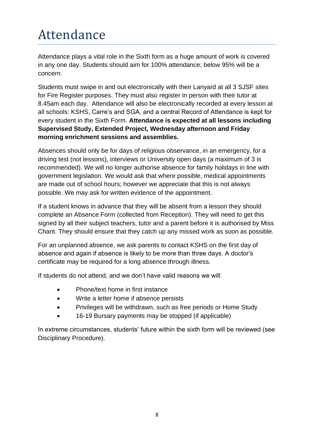# Attendance

Attendance plays a vital role in the Sixth form as a huge amount of work is covered in any one day. Students should aim for 100% attendance; below 95% will be a concern.

Students must swipe in and out electronically with their Lanyard at all 3 SJSF sites for Fire Register purposes. They must also register in person with their tutor at 8.45am each day. Attendance will also be electronically recorded at every lesson at all schools: KSHS, Carre's and SGA, and a central Record of Attendance is kept for every student in the Sixth Form. **Attendance is expected at all lessons including Supervised Study, Extended Project, Wednesday afternoon and Friday morning enrichment sessions and assemblies.**

Absences should only be for days of religious observance, in an emergency, for a driving test (not lessons), interviews or University open days (a maximum of 3 is recommended). We will no longer authorise absence for family holidays in line with government legislation. We would ask that where possible, medical appointments are made out of school hours; however we appreciate that this is not always possible. We may ask for written evidence of the appointment.

If a student knows in advance that they will be absent from a lesson they should complete an Absence Form (collected from Reception). They will need to get this signed by all their subject teachers, tutor and a parent before it is authorised by Miss Chant. They should ensure that they catch up any missed work as soon as possible.

For an unplanned absence, we ask parents to contact KSHS on the first day of absence and again if absence is likely to be more than three days. A doctor's certificate may be required for a long absence through illness.

If students do not attend, and we don't have valid reasons we will:

- Phone/text home in first instance
- Write a letter home if absence persists
- Privileges will be withdrawn, such as free periods or Home Study
- 16-19 Bursary payments may be stopped (if applicable)

In extreme circumstances, students' future within the sixth form will be reviewed (see Disciplinary Procedure).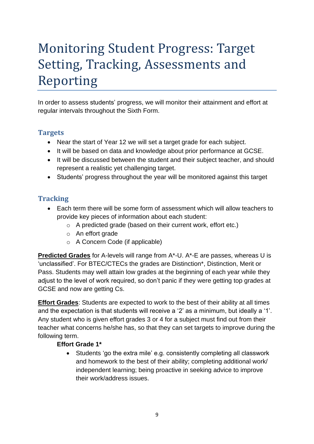# Monitoring Student Progress: Target Setting, Tracking, Assessments and Reporting

In order to assess students' progress, we will monitor their attainment and effort at regular intervals throughout the Sixth Form.

## **Targets**

- Near the start of Year 12 we will set a target grade for each subject.
- It will be based on data and knowledge about prior performance at GCSE.
- It will be discussed between the student and their subject teacher, and should represent a realistic yet challenging target.
- Students' progress throughout the year will be monitored against this target

## **Tracking**

- Each term there will be some form of assessment which will allow teachers to provide key pieces of information about each student:
	- o A predicted grade (based on their current work, effort etc.)
	- o An effort grade
	- o A Concern Code (if applicable)

**Predicted Grades** for A-levels will range from A\*-U. A\*-E are passes, whereas U is 'unclassified'. For BTEC/CTECs the grades are Distinction\*, Distinction, Merit or Pass. Students may well attain low grades at the beginning of each year while they adjust to the level of work required, so don't panic if they were getting top grades at GCSE and now are getting Cs.

**Effort Grades**: Students are expected to work to the best of their ability at all times and the expectation is that students will receive a '2' as a minimum, but ideally a '1'. Any student who is given effort grades 3 or 4 for a subject must find out from their teacher what concerns he/she has, so that they can set targets to improve during the following term.

### **Effort Grade 1\***

• Students 'go the extra mile' e.g. consistently completing all classwork and homework to the best of their ability; completing additional work/ independent learning; being proactive in seeking advice to improve their work/address issues.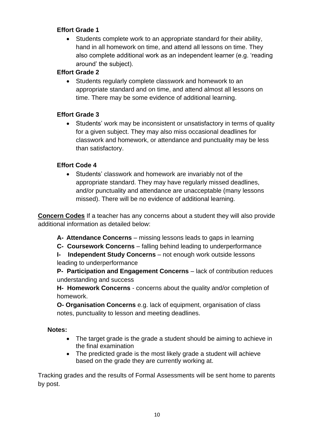### **Effort Grade 1**

• Students complete work to an appropriate standard for their ability, hand in all homework on time, and attend all lessons on time. They also complete additional work as an independent learner (e.g. 'reading around' the subject).

### **Effort Grade 2**

• Students regularly complete classwork and homework to an appropriate standard and on time, and attend almost all lessons on time. There may be some evidence of additional learning.

### **Effort Grade 3**

• Students' work may be inconsistent or unsatisfactory in terms of quality for a given subject. They may also miss occasional deadlines for classwork and homework, or attendance and punctuality may be less than satisfactory.

### **Effort Code 4**

• Students' classwork and homework are invariably not of the appropriate standard. They may have regularly missed deadlines, and/or punctuality and attendance are unacceptable (many lessons missed). There will be no evidence of additional learning.

**Concern Codes** If a teacher has any concerns about a student they will also provide additional information as detailed below:

- **A- Attendance Concerns**  missing lessons leads to gaps in learning
- **C- Coursework Concerns**  falling behind leading to underperformance

**I- Independent Study Concerns** – not enough work outside lessons leading to underperformance

**P- Participation and Engagement Concerns** – lack of contribution reduces understanding and success

**H- Homework Concerns** - concerns about the quality and/or completion of homework.

**O- Organisation Concerns** e.g. lack of equipment, organisation of class notes, punctuality to lesson and meeting deadlines.

#### **Notes:**

- The target grade is the grade a student should be aiming to achieve in the final examination
- The predicted grade is the most likely grade a student will achieve based on the grade they are currently working at.

Tracking grades and the results of Formal Assessments will be sent home to parents by post.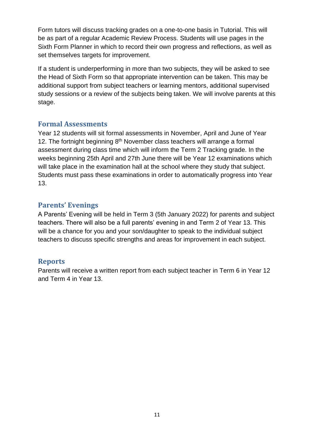Form tutors will discuss tracking grades on a one-to-one basis in Tutorial. This will be as part of a regular Academic Review Process. Students will use pages in the Sixth Form Planner in which to record their own progress and reflections, as well as set themselves targets for improvement.

If a student is underperforming in more than two subjects, they will be asked to see the Head of Sixth Form so that appropriate intervention can be taken. This may be additional support from subject teachers or learning mentors, additional supervised study sessions or a review of the subjects being taken. We will involve parents at this stage.

### **Formal Assessments**

Year 12 students will sit formal assessments in November, April and June of Year 12. The fortnight beginning 8<sup>th</sup> November class teachers will arrange a formal assessment during class time which will inform the Term 2 Tracking grade. In the weeks beginning 25th April and 27th June there will be Year 12 examinations which will take place in the examination hall at the school where they study that subject. Students must pass these examinations in order to automatically progress into Year 13.

## **Parents' Evenings**

A Parents' Evening will be held in Term 3 (5th January 2022) for parents and subject teachers. There will also be a full parents' evening in and Term 2 of Year 13. This will be a chance for you and your son/daughter to speak to the individual subject teachers to discuss specific strengths and areas for improvement in each subject.

## **Reports**

Parents will receive a written report from each subject teacher in Term 6 in Year 12 and Term 4 in Year 13.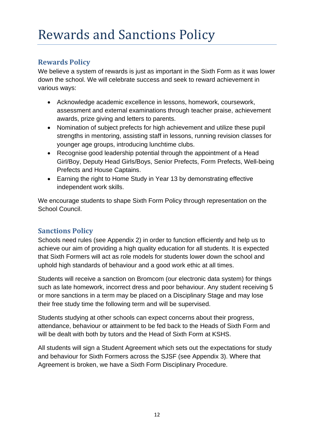## **Rewards Policy**

We believe a system of rewards is just as important in the Sixth Form as it was lower down the school. We will celebrate success and seek to reward achievement in various ways:

- Acknowledge academic excellence in lessons, homework, coursework, assessment and external examinations through teacher praise, achievement awards, prize giving and letters to parents.
- Nomination of subject prefects for high achievement and utilize these pupil strengths in mentoring, assisting staff in lessons, running revision classes for younger age groups, introducing lunchtime clubs.
- Recognise good leadership potential through the appointment of a Head Girl/Boy, Deputy Head Girls/Boys, Senior Prefects, Form Prefects, Well-being Prefects and House Captains.
- Earning the right to Home Study in Year 13 by demonstrating effective independent work skills.

We encourage students to shape Sixth Form Policy through representation on the School Council.

## **Sanctions Policy**

Schools need rules (see Appendix 2) in order to function efficiently and help us to achieve our aim of providing a high quality education for all students. It is expected that Sixth Formers will act as role models for students lower down the school and uphold high standards of behaviour and a good work ethic at all times.

Students will receive a sanction on Bromcom (our electronic data system) for things such as late homework, incorrect dress and poor behaviour. Any student receiving 5 or more sanctions in a term may be placed on a Disciplinary Stage and may lose their free study time the following term and will be supervised.

Students studying at other schools can expect concerns about their progress, attendance, behaviour or attainment to be fed back to the Heads of Sixth Form and will be dealt with both by tutors and the Head of Sixth Form at KSHS.

All students will sign a Student Agreement which sets out the expectations for study and behaviour for Sixth Formers across the SJSF (see Appendix 3). Where that Agreement is broken, we have a Sixth Form Disciplinary Procedure.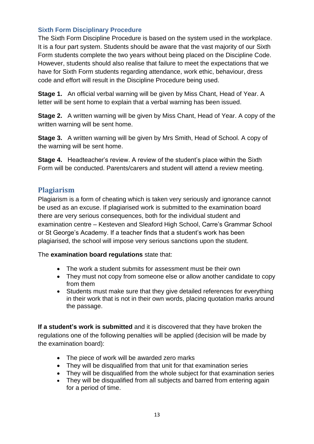#### **Sixth Form Disciplinary Procedure**

The Sixth Form Discipline Procedure is based on the system used in the workplace. It is a four part system. Students should be aware that the vast majority of our Sixth Form students complete the two years without being placed on the Discipline Code. However, students should also realise that failure to meet the expectations that we have for Sixth Form students regarding attendance, work ethic, behaviour, dress code and effort will result in the Discipline Procedure being used.

**Stage 1.** An official verbal warning will be given by Miss Chant, Head of Year. A letter will be sent home to explain that a verbal warning has been issued.

**Stage 2.** A written warning will be given by Miss Chant, Head of Year. A copy of the written warning will be sent home.

**Stage 3.** A written warning will be given by Mrs Smith, Head of School. A copy of the warning will be sent home.

**Stage 4.** Headteacher's review. A review of the student's place within the Sixth Form will be conducted. Parents/carers and student will attend a review meeting.

### **Plagiarism**

Plagiarism is a form of cheating which is taken very seriously and ignorance cannot be used as an excuse. If plagiarised work is submitted to the examination board there are very serious consequences, both for the individual student and examination centre – Kesteven and Sleaford High School, Carre's Grammar School or St George's Academy. If a teacher finds that a student's work has been plagiarised, the school will impose very serious sanctions upon the student.

The **examination board regulations** state that:

- The work a student submits for assessment must be their own
- They must not copy from someone else or allow another candidate to copy from them
- Students must make sure that they give detailed references for everything in their work that is not in their own words, placing quotation marks around the passage.

**If a student's work is submitted** and it is discovered that they have broken the regulations one of the following penalties will be applied (decision will be made by the examination board):

- The piece of work will be awarded zero marks
- They will be disqualified from that unit for that examination series
- They will be disqualified from the whole subject for that examination series
- They will be disqualified from all subjects and barred from entering again for a period of time.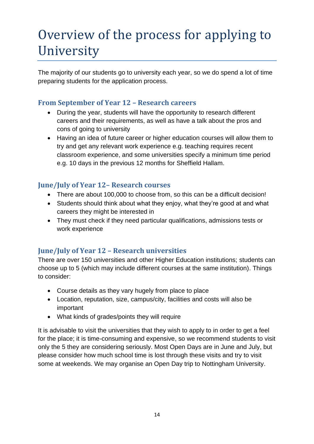# Overview of the process for applying to University

The majority of our students go to university each year, so we do spend a lot of time preparing students for the application process.

## **From September of Year 12 – Research careers**

- During the year, students will have the opportunity to research different careers and their requirements, as well as have a talk about the pros and cons of going to university
- Having an idea of future career or higher education courses will allow them to try and get any relevant work experience e.g. teaching requires recent classroom experience, and some universities specify a minimum time period e.g. 10 days in the previous 12 months for Sheffield Hallam.

## **June/July of Year 12– Research courses**

- There are about 100,000 to choose from, so this can be a difficult decision!
- Students should think about what they enjoy, what they're good at and what careers they might be interested in
- They must check if they need particular qualifications, admissions tests or work experience

## **June/July of Year 12 – Research universities**

There are over 150 universities and other Higher Education institutions; students can choose up to 5 (which may include different courses at the same institution). Things to consider:

- Course details as they vary hugely from place to place
- Location, reputation, size, campus/city, facilities and costs will also be important
- What kinds of grades/points they will require

It is advisable to visit the universities that they wish to apply to in order to get a feel for the place; it is time-consuming and expensive, so we recommend students to visit only the 5 they are considering seriously. Most Open Days are in June and July, but please consider how much school time is lost through these visits and try to visit some at weekends. We may organise an Open Day trip to Nottingham University.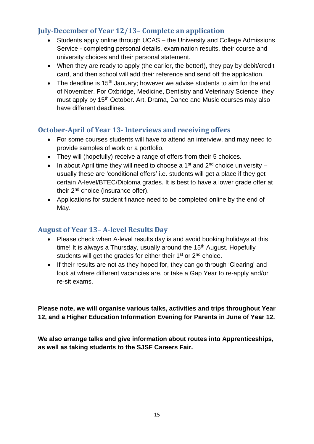## **July-December of Year 12/13– Complete an application**

- Students apply online through UCAS the University and College Admissions Service - completing personal details, examination results, their course and university choices and their personal statement.
- When they are ready to apply (the earlier, the better!), they pay by debit/credit card, and then school will add their reference and send off the application.
- The deadline is  $15<sup>th</sup>$  January; however we advise students to aim for the end of November. For Oxbridge, Medicine, Dentistry and Veterinary Science, they must apply by 15<sup>th</sup> October. Art, Drama, Dance and Music courses may also have different deadlines.

## **October-April of Year 13- Interviews and receiving offers**

- For some courses students will have to attend an interview, and may need to provide samples of work or a portfolio.
- They will (hopefully) receive a range of offers from their 5 choices.
- In about April time they will need to choose a 1<sup>st</sup> and  $2^{nd}$  choice university usually these are 'conditional offers' i.e. students will get a place if they get certain A-level/BTEC/Diploma grades. It is best to have a lower grade offer at their 2<sup>nd</sup> choice (insurance offer).
- Applications for student finance need to be completed online by the end of May.

## **August of Year 13– A-level Results Day**

- Please check when A-level results day is and avoid booking holidays at this time! It is always a Thursday, usually around the  $15<sup>th</sup>$  August. Hopefully students will get the grades for either their 1<sup>st</sup> or 2<sup>nd</sup> choice.
- If their results are not as they hoped for, they can go through 'Clearing' and look at where different vacancies are, or take a Gap Year to re-apply and/or re-sit exams.

**Please note, we will organise various talks, activities and trips throughout Year 12, and a Higher Education Information Evening for Parents in June of Year 12.**

**We also arrange talks and give information about routes into Apprenticeships, as well as taking students to the SJSF Careers Fair.**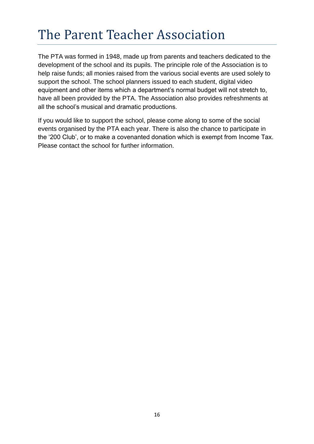# The Parent Teacher Association

The PTA was formed in 1948, made up from parents and teachers dedicated to the development of the school and its pupils. The principle role of the Association is to help raise funds; all monies raised from the various social events are used solely to support the school. The school planners issued to each student, digital video equipment and other items which a department's normal budget will not stretch to, have all been provided by the PTA. The Association also provides refreshments at all the school's musical and dramatic productions.

If you would like to support the school, please come along to some of the social events organised by the PTA each year. There is also the chance to participate in the '200 Club', or to make a covenanted donation which is exempt from Income Tax. Please contact the school for further information.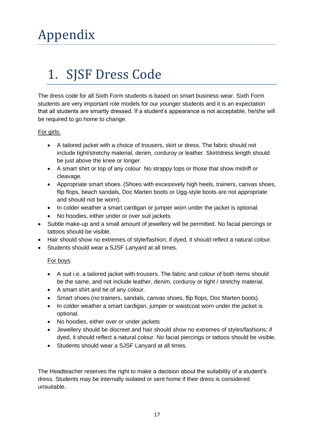## 1. SJSF Dress Code

The dress code for all Sixth Form students is based on smart business wear. Sixth Form students are very important role models for our younger students and it is an expectation that all students are smartly dressed. If a student's appearance is not acceptable, he/she will be required to go home to change.

#### For girls:

- A tailored jacket with a choice of trousers, skirt or dress. The fabric should not include tight/stretchy material, denim, corduroy or leather. Skirt/dress length should be just above the knee or longer.
- A smart shirt or top of any colour. No strappy tops or those that show midriff or cleavage.
- Appropriate smart shoes. (Shoes with excessively high heels, trainers, canvas shoes, flip flops, beach sandals, Doc Marten boots or Ugg-style boots are not appropriate and should not be worn).
- In colder weather a smart cardigan or jumper worn under the jacket is optional.
- No hoodies, either under or over suit jackets.
- Subtle make-up and a small amount of jewellery will be permitted. No facial piercings or tattoos should be visible.
- Hair should show no extremes of style/fashion; if dyed, it should reflect a natural colour.
- Students should wear a SJSF Lanyard at all times.

#### For boys:

- A suit i.e. a tailored jacket with trousers. The fabric and colour of both items should be the same, and not include leather, denim, corduroy or tight / stretchy material.
- A smart shirt and tie of any colour.
- Smart shoes (no trainers, sandals, canvas shoes, flip flops, Doc Marten boots).
- In colder weather a smart cardigan, jumper or waistcoat worn under the jacket is optional.
- No hoodies, either over or under jackets
- Jewellery should be discreet and hair should show no extremes of styles/fashions; if dyed, it should reflect a natural colour. No facial piercings or tattoos should be visible.
- Students should wear a SJSF Lanyard at all times.

The Headteacher reserves the right to make a decision about the suitability of a student's dress. Students may be internally isolated or sent home if their dress is considered unsuitable.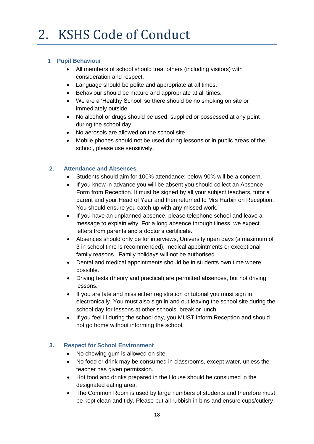#### **1 Pupil Behaviour**

- All members of school should treat others (including visitors) with consideration and respect.
- Language should be polite and appropriate at all times.
- Behaviour should be mature and appropriate at all times.
- We are a 'Healthy School' so there should be no smoking on site or immediately outside.
- No alcohol or drugs should be used, supplied or possessed at any point during the school day.
- No aerosols are allowed on the school site.
- Mobile phones should not be used during lessons or in public areas of the school, please use sensitively.

#### **2. Attendance and Absences**

- Students should aim for 100% attendance; below 90% will be a concern.
- If you know in advance you will be absent you should collect an Absence Form from Reception. It must be signed by all your subject teachers, tutor a parent and your Head of Year and then returned to Mrs Harbin on Reception. You should ensure you catch up with any missed work.
- If you have an unplanned absence, please telephone school and leave a message to explain why. For a long absence through illness, we expect letters from parents and a doctor's certificate.
- Absences should only be for interviews, University open days (a maximum of 3 in school time is recommended), medical appointments or exceptional family reasons. Family holidays will not be authorised.
- Dental and medical appointments should be in students own time where possible.
- Driving tests (theory and practical) are permitted absences, but not driving lessons.
- If you are late and miss either registration or tutorial you must sign in electronically. You must also sign in and out leaving the school site during the school day for lessons at other schools, break or lunch.
- If you feel ill during the school day, you MUST inform Reception and should not go home without informing the school.

#### **3. Respect for School Environment**

- No chewing gum is allowed on site.
- No food or drink may be consumed in classrooms, except water, unless the teacher has given permission.
- Hot food and drinks prepared in the House should be consumed in the designated eating area.
- The Common Room is used by large numbers of students and therefore must be kept clean and tidy. Please put all rubbish in bins and ensure cups/cutlery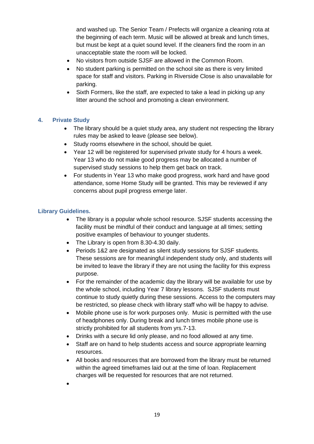and washed up. The Senior Team / Prefects will organize a cleaning rota at the beginning of each term. Music will be allowed at break and lunch times, but must be kept at a quiet sound level. If the cleaners find the room in an unacceptable state the room will be locked.

- No visitors from outside SJSF are allowed in the Common Room.
- No student parking is permitted on the school site as there is very limited space for staff and visitors. Parking in Riverside Close is also unavailable for parking.
- Sixth Formers, like the staff, are expected to take a lead in picking up any litter around the school and promoting a clean environment.

#### **4. Private Study**

- The library should be a quiet study area, any student not respecting the library rules may be asked to leave (please see below).
- Study rooms elsewhere in the school, should be quiet.
- Year 12 will be registered for supervised private study for 4 hours a week. Year 13 who do not make good progress may be allocated a number of supervised study sessions to help them get back on track.
- For students in Year 13 who make good progress, work hard and have good attendance, some Home Study will be granted. This may be reviewed if any concerns about pupil progress emerge later.

#### **Library Guidelines.**

- The library is a popular whole school resource. SJSF students accessing the facility must be mindful of their conduct and language at all times; setting positive examples of behaviour to younger students.
- The Library is open from 8.30-4.30 daily.
- Periods 1&2 are designated as silent study sessions for SJSF students. These sessions are for meaningful independent study only, and students will be invited to leave the library if they are not using the facility for this express purpose.
- For the remainder of the academic day the library will be available for use by the whole school, including Year 7 library lessons. SJSF students must continue to study quietly during these sessions. Access to the computers may be restricted, so please check with library staff who will be happy to advise.
- Mobile phone use is for work purposes only. Music is permitted with the use of headphones only. During break and lunch times mobile phone use is strictly prohibited for all students from yrs.7-13.
- Drinks with a secure lid only please, and no food allowed at any time.
- Staff are on hand to help students access and source appropriate learning resources.
- All books and resources that are borrowed from the library must be returned within the agreed timeframes laid out at the time of loan. Replacement charges will be requested for resources that are not returned.
- •